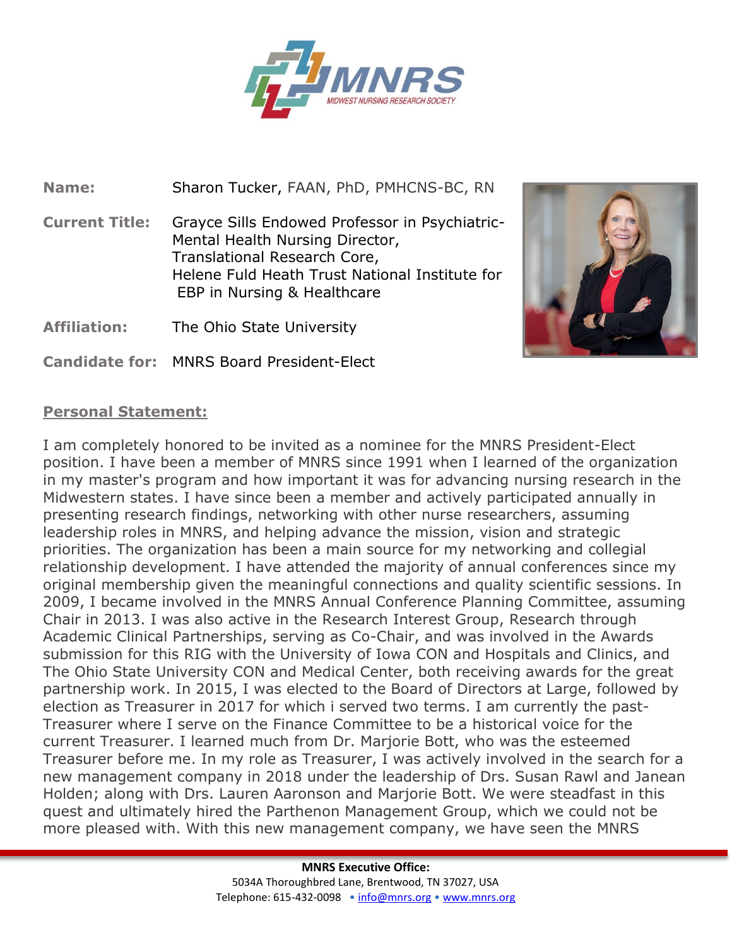

**Name:** Sharon Tucker, FAAN, PhD, PMHCNS-BC, RN

**Current Title:** Grayce Sills Endowed Professor in Psychiatric-Mental Health Nursing Director, Translational Research Core, Helene Fuld Heath Trust National Institute for EBP in Nursing & Healthcare



**Candidate for:** MNRS Board President-Elect



## **Personal Statement:**

I am completely honored to be invited as a nominee for the MNRS President-Elect position. I have been a member of MNRS since 1991 when I learned of the organization in my master's program and how important it was for advancing nursing research in the Midwestern states. I have since been a member and actively participated annually in presenting research findings, networking with other nurse researchers, assuming leadership roles in MNRS, and helping advance the mission, vision and strategic priorities. The organization has been a main source for my networking and collegial relationship development. I have attended the majority of annual conferences since my original membership given the meaningful connections and quality scientific sessions. In 2009, I became involved in the MNRS Annual Conference Planning Committee, assuming Chair in 2013. I was also active in the Research Interest Group, Research through Academic Clinical Partnerships, serving as Co-Chair, and was involved in the Awards submission for this RIG with the University of Iowa CON and Hospitals and Clinics, and The Ohio State University CON and Medical Center, both receiving awards for the great partnership work. In 2015, I was elected to the Board of Directors at Large, followed by election as Treasurer in 2017 for which i served two terms. I am currently the past-Treasurer where I serve on the Finance Committee to be a historical voice for the current Treasurer. I learned much from Dr. Marjorie Bott, who was the esteemed Treasurer before me. In my role as Treasurer, I was actively involved in the search for a new management company in 2018 under the leadership of Drs. Susan Rawl and Janean Holden; along with Drs. Lauren Aaronson and Marjorie Bott. We were steadfast in this quest and ultimately hired the Parthenon Management Group, which we could not be more pleased with. With this new management company, we have seen the MNRS